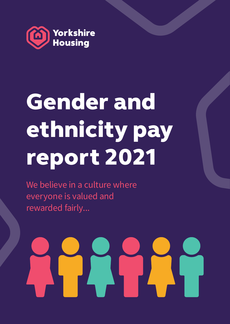

# Gender and ethnicity pay report 2021

We believe in a culture where everyone is valued and rewarded fairly...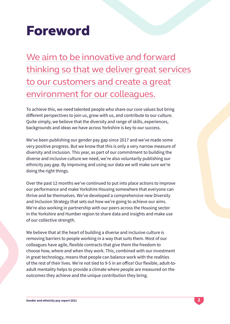## Foreword

We aim to be innovative and forward thinking so that we deliver great services to our customers and create a great environment for our colleagues.

To achieve this, we need talented people who share our core values but bring different perspectives to join us, grow with us, and contribute to our culture. Quite simply, we believe that the diversity and range of skills, experiences, backgrounds and ideas we have across Yorkshire is key to our success.

We've been publishing our gender pay gap since 2017 and we've made some very positive progress. But we know that this is only a very narrow measure of diversity and inclusion. This year, as part of our commitment to building the diverse and inclusive culture we need, we're also voluntarily publishing our ethnicity pay gap. By improving and using our data we will make sure we're doing the right things.

Over the past 12 months we've continued to put into place actions to improve our performance and make Yorkshire Housing somewhere that everyone can thrive and be themselves. We've developed a comprehensive new Diversity and Inclusion Strategy that sets out how we're going to achieve our aims. We're also working in partnership with our peers across the Housing sector in the Yorkshire and Humber region to share data and insights and make use of our collective strength.

We believe that at the heart of building a diverse and inclusive culture is removing barriers to people working in a way that suits them. Most of our colleagues have agile, flexible contracts that give them the freedom to choose how, where and when they work. This, combined with our investment in great technology, means that people can balance work with the realities of the rest of their lives. We're not tied to 9-5 in an office! Our flexible, adult-toadult mentality helps to provide a climate where people are measured on the outcomes they achieve and the unique contribution they bring.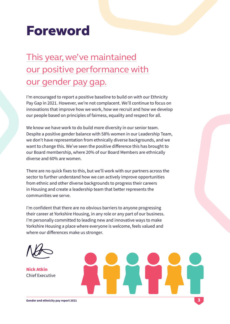### Foreword

### This year, we've maintained our positive performance with our gender pay gap.

I'm encouraged to report a positive baseline to build on with our Ethnicity Pay Gap in 2021. However, we're not complacent. We'll continue to focus on innovations that improve how we work, how we recruit and how we develop our people based on principles of fairness, equality and respect for all.

We know we have work to do build more diversity in our senior team. Despite a positive gender balance with 58% women in our Leadership Team, we don't have representation from ethnically diverse backgrounds, and we want to change this. We've seen the positive difference this has brought to our Board membership, where 20% of our Board Members are ethnically diverse and 60% are women.

There are no quick fixes to this, but we'll work with our partners across the sector to further understand how we can actively improve opportunities from ethnic and other diverse backgrounds to progress their careers in Housing and create a leadership team that better represents the communities we serve.

I'm confident that there are no obvious barriers to anyone progressing their career at Yorkshire Housing, in any role or any part of our business. I'm personally committed to leading new and innovative ways to make Yorkshire Housing a place where everyone is welcome, feels valued and where our differences make us stronger.

Nick Atkin Chief Executive

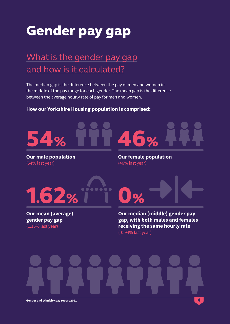## Gender pay gap

### What is the gender pay gap and how is it calculated?

The median gap is the difference between the pay of men and women in the middle of the pay range for each gender. The mean gap is the difference between the average hourly rate of pay for men and women.

#### **How our Yorkshire Housing population is comprised:**



**Our male population** (54% last year)

**Our female population** (46% last year)



**Our mean (average) gender pay gap** (1.15% last year)

**Our median (middle) gender pay gap, with both males and females receiving the same hourly rate**  (-0.94% last year)

**Gender and ethnicity pay report 2021**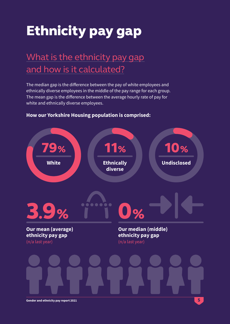## Ethnicity pay gap

### What is the ethnicity pay gap and how is it calculated?

The median gap is the difference between the pay of white employees and ethnically diverse employees in the middle of the pay range for each group. The mean gap is the difference between the average hourly rate of pay for white and ethnically diverse employees.



#### **How our Yorkshire Housing population is comprised:**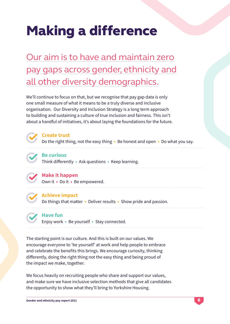## **Making a difference**

Our aim is to have and maintain zero pay gaps across gender, ethnicity and all other diversity demographics.

We'll continue to focus on that, but we recognise that pay gap data is only one small measure of what it means to be a truly diverse and inclusive organisation. Our Diversity and Inclusion Strategy is a long term approach to building and sustaining a culture of true inclusion and fairness. This isn't about a handful of initiatives, it's about laying the foundations for the future.



**Create trust**

Do the right thing, not the easy thing • Be honest and open • Do what you say.



#### **Be curious**

Think differently • Ask questions • Keep learning.



Own it • Do it • Be empowered.



#### **Achieve impact**

Do things that matter • Deliver results • Show pride and passion.



#### **Have fun**

Enjoy work • Be yourself • Stay connected.

The starting point is our culture. And this is built on our values. We encourage everyone to 'be yourself' at work and help people to embrace and celebrate the benefits this brings. We encourage curiosity, thinking differently, doing the right thing not the easy thing and being proud of the impact we make, together.

We focus heavily on recruiting people who share and support our values, and make sure we have inclusive selection methods that give all candidates the opportunity to show what they'll bring to Yorkshire Housing.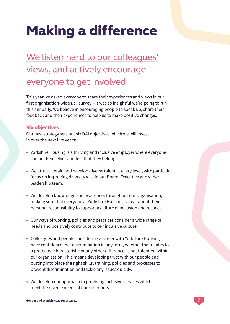## **Making a difference**

### We listen hard to our colleagues' views, and actively encourage everyone to get involved.

This year we asked everyone to share their experiences and views in our first organisation-wide D&I survey – it was so insightful we're going to run this annually. We believe in encouraging people to speak up, share their feedback and their experiences to help us to make positive changes.

#### **Six objectives**

Our new strategy sets out six D&I objectives which we will invest in over the next five years:

- **•** Yorkshire Housing is a thriving and inclusive employer where everyone can be themselves and feel that they belong.
- **•** We attract, retain and develop diverse talent at every level, with particular focus on improving diversity within our Board, Executive and wider leadership team.
- **•** We develop knowledge and awareness throughout our organisation, making sure that everyone at Yorkshire Housing is clear about their personal responsibility to support a culture of inclusion and respect.
- **•** Our ways of working, policies and practices consider a wide range of needs and positively contribute to our inclusive culture.
- **•** Colleagues and people considering a career with Yorkshire Housing have confidence that discrimination in any form, whether that relates to a protected characteristic or any other difference, is not tolerated within our organisation. This means developing trust with our people and putting into place the right skills, training, policies and processes to prevent discrimination and tackle any issues quickly.
- **•** We develop our approach to providing inclusive services which meet the diverse needs of our customers.

7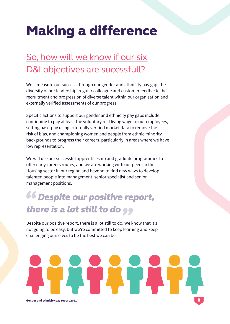## **Making a difference**

### So, how will we know if our six D&I objectives are sucessfull?

We'll measure our success through our gender and ethnicity pay gap, the diversity of our leadership, regular colleague and customer feedback, the recruitment and progression of diverse talent within our organisation and externally verified assessments of our progress.

Specific actions to support our gender and ethnicity pay gaps include continuing to pay at least the voluntary real living wage to our employees, setting base-pay using externally verified market data to remove the risk of bias, and championing women and people from ethnic minority backgrounds to progress their careers, particularly in areas where we have low representation.

We will use our successful apprenticeship and graduate programmes to offer early careers routes, and we are working with our peers in the Housing sector in our region and beyond to find new ways to develop talented people into management, senior specialist and senior management positions.

### *Despite our positive report, there is a lot still to do*

Despite our positive report, there is a lot still to do. We know that it's not going to be easy, but we're committed to keep learning and keep challenging ourselves to be the best we can be.